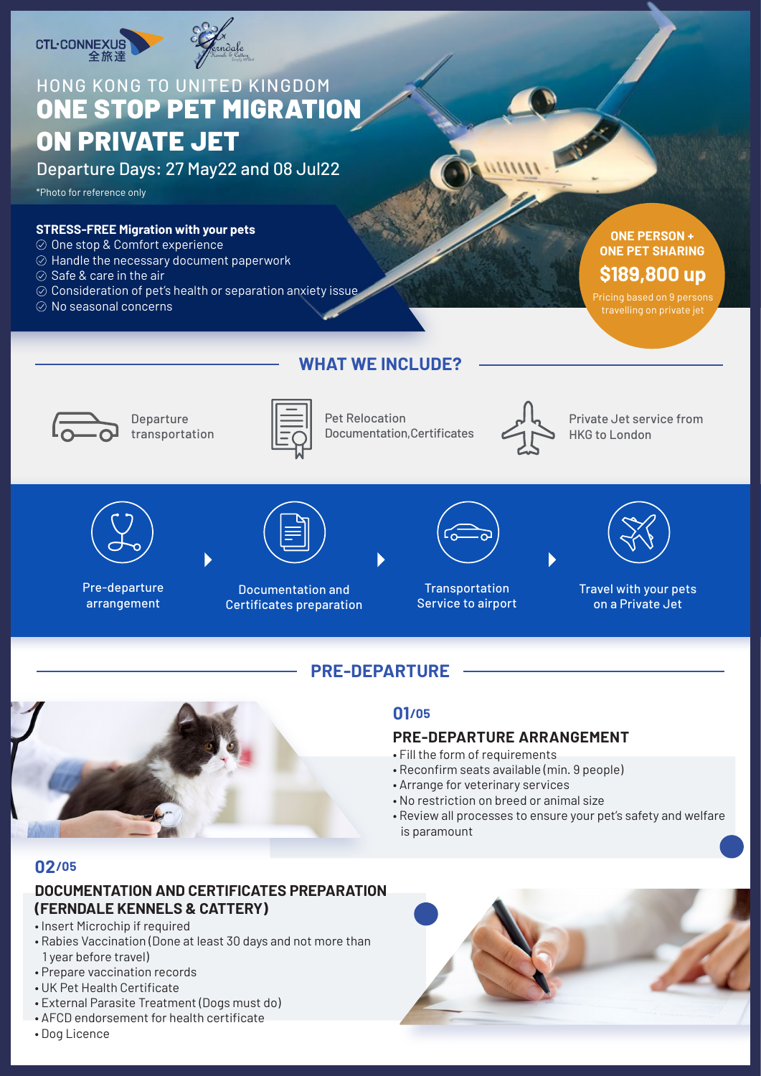



# HONG KONG TO UNITED KINGDOM ONE STOP PET MIGRATION ON PRIVATE JET

Departure Days: 27 May22 and 08 Jul22

\*Photo for reference only

#### **STRESS-FREE Migration with your pets**

- $\oslash$  One stop & Comfort experience
- $\oslash$  Handle the necessary document paperwork
- $\oslash$  Safe & care in the air
- $\oslash$  Consideration of pet's health or separation anxiety issue
- $\oslash$  No seasonal concerns

### **ONE PERSON + ONE PET SHARING \$189,800 up**

### **WHAT WE INCLUDE?**



Departure transportation



Pet Relocation Documentation,Certificates



Private Jet service from HKG to London



Pre-departure arrangement



Documentation and Certificates preparation



**Transportation** Service to airport



Travel with your pets on a Private Jet

## **PRE-DEPARTURE**



### **01/05**

### **PRE-DEPARTURE ARRANGEMENT**

- Fill the form of requirements
- Reconfirm seats available (min. 9 people)
- Arrange for veterinary services
- No restriction on breed or animal size
- Review all processes to ensure your pet's safety and welfare is paramount

### **02/05**

### **DOCUMENTATION AND CERTIFICATES PREPARATION (FERNDALE KENNELS & CATTERY)**

- Insert Microchip if required
- Rabies Vaccination (Done at least 30 days and not more than 1 year before travel)
- Prepare vaccination records
- UK Pet Health Certificate
- External Parasite Treatment (Dogs must do)
- AFCD endorsement for health certificate
- Dog Licence

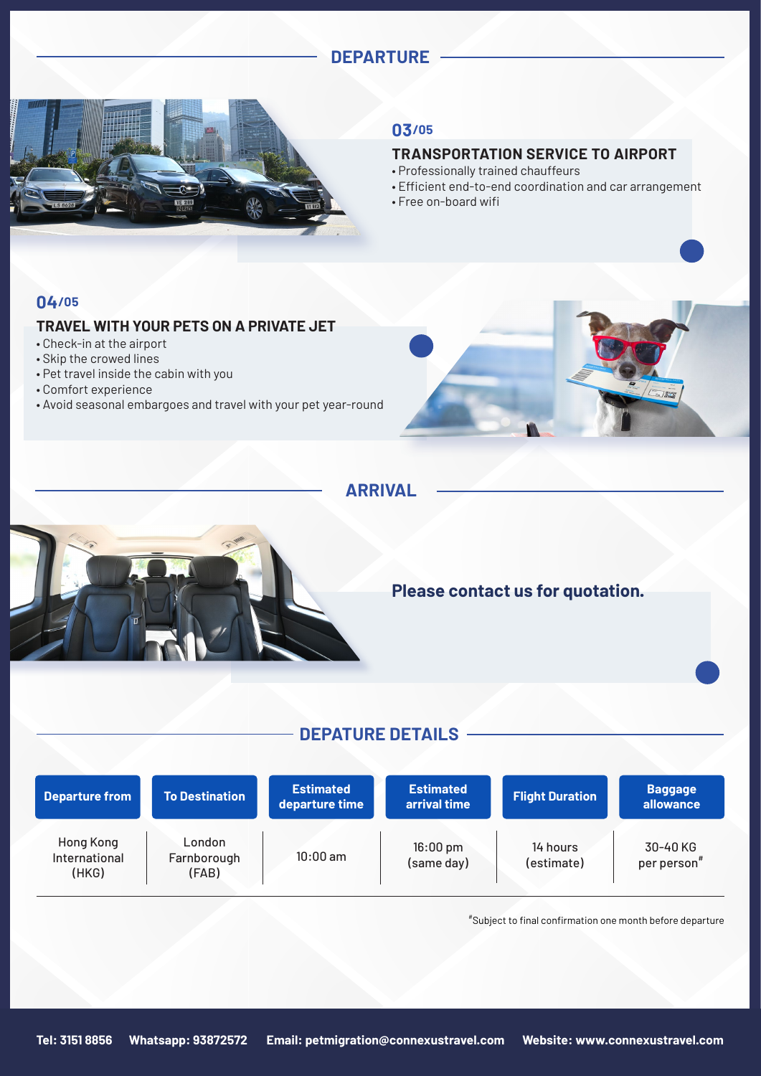### **DEPARTURE**



#### **03/05**

#### **TRANSPORTATION SERVICE TO AIRPORT**

- Professionally trained chauffeurs
- Efficient end-to-end coordination and car arrangement
- Free on-board wifi

#### **04/05**

#### **TRAVEL WITH YOUR PETS ON A PRIVATE JET**

- Check-in at the airport
- Skip the crowed lines
- Pet travel inside the cabin with you
- Comfort experience
- Avoid seasonal embargoes and travel with your pet year-round



 **ARRIVAL**



### **Please contact us for quotation.**

### **DEPATURE DETAILS**

| <b>Departure from</b>               | <b>To Destination</b>          | <b>Estimated</b><br>departure time | <b>Estimated</b><br>arrival time | <b>Flight Duration</b> | <b>Baggage</b><br>allowance |
|-------------------------------------|--------------------------------|------------------------------------|----------------------------------|------------------------|-----------------------------|
| Hong Kong<br>International<br>(HKG) | London<br>Farnborough<br>(FAB) | $10:00$ am                         | $16:00 \text{ pm}$<br>(same day) | 14 hours<br>(estimate) | 30-40 KG<br>per person#     |

# Subject to final confirmation one month before departure